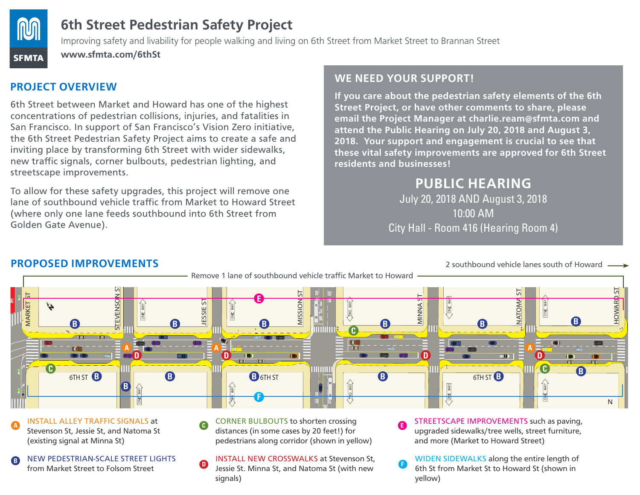

# **6th Street Pedestrian Safety Project**

Improving safety and livability for people walking and living on 6th Street from Market Street to Brannan Street

**www.sfmta.com/6thSt**

## **PROJECT OVERVIEW**

6th Street between Market and Howard has one of the highest concentrations of pedestrian collisions, injuries, and fatalities in San Francisco. In support of San Francisco's Vision Zero initiative, the 6th Street Pedestrian Safety Project aims to create a safe and inviting place by transforming 6th Street with wider sidewalks, new traffic signals, corner bulbouts, pedestrian lighting, and streetscape improvements.

To allow for these safety upgrades, this project will remove one lane of southbound vehicle traffic from Market to Howard Street (where only one lane feeds southbound into 6th Street from Golden Gate Avenue).

#### **WE NEED YOUR SUPPORT!**

**E**

**If you care about the pedestrian safety elements of the 6th Street Project, or have other comments to share, please email the Project Manager at charlie.ream@sfmta.com and attend the Public Hearing on July 20, 2018 and August 3, 2018. Your support and engagement is crucial to see that these vital safety improvements are approved for 6th Street residents and businesses!** 

# **PUBLIC HEARING**

July 20, 2018 AND August 3, 2018 10:00 AM City Hall - Room 416 (Hearing Room 4)

#### **PROPOSED IMPROVEMENTS**





INSTALL ALLEY TRAFFIC SIGNALS at Stevenson St, Jessie St, and Natoma St (existing signal at Minna St) **A**

- NEW PEDESTRIAN-SCALE STREET LIGHTS from Market Street to Folsom Street
- CORNER BULBOUTS to shorten crossing distances (in some cases by 20 feet!) for pedestrians along corridor (shown in yellow) **C**
- **D** NEW PEDESTRIAN-SCALE STREET LIGHTS **D** INSTALL NEW CROSSWALKS at Stevenson St, Jessie St. Minna St, and Natoma St (with new signals)

**D**

STREETSCAPE IMPROVEMENTS such as paving, upgraded sidewalks/tree wells, street furniture, and more (Market to Howard Street)

2 southbound vehicle lanes south of Howard

WIDEN SIDEWALKS along the entire length of 6th St from Market St to Howard St (shown in yellow)